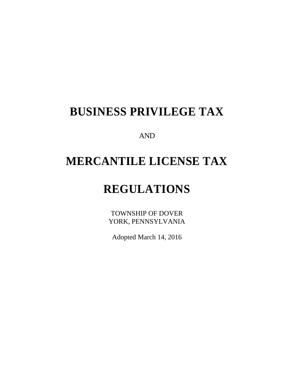# **BUSINESS PRIVILEGE TAX**

AND

# **MERCANTILE LICENSE TAX**

# **REGULATIONS**

TOWNSHIP OF DOVER YORK, PENNSYLVANIA

Adopted March 14, 2016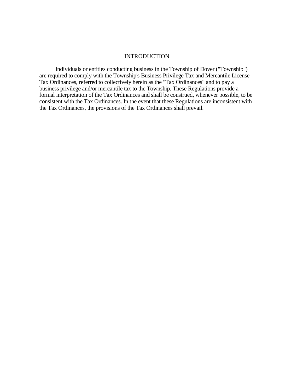#### **INTRODUCTION**

Individuals or entities conducting business in the Township of Dover ("Township") are required to comply with the Township's Business Privilege Tax and Mercantile License Tax Ordinances, referred to collectively herein as the "Tax Ordinances" and to pay a business privilege and/or mercantile tax to the Township. These Regulations provide a formal interpretation of the Tax Ordinances and shall be construed, whenever possible, to be consistent with the Tax Ordinances. In the event that these Regulations are inconsistent with the Tax Ordinances, the provisions of the Tax Ordinances shall prevail.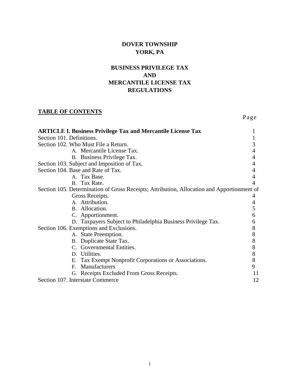# **DOVER TOWNSHIP YORK, PA**

# **BUSINESS PRIVILEGE TAX AND MERCANTILE LICENSE TAX REGULATIONS**

Page

# **TABLE OF CONTENTS**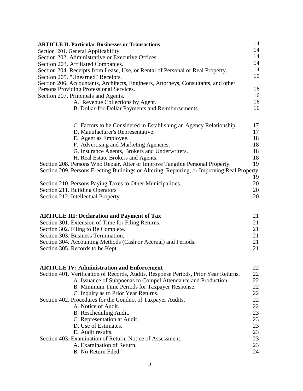| <b>ARTICLE II. Particular Businesses or Transactions</b>                                    | 14 |
|---------------------------------------------------------------------------------------------|----|
| Section 201. General Applicability                                                          | 14 |
| Section 202. Administrative or Executive Offices.                                           | 14 |
| Section 203. Affiliated Companies.                                                          | 14 |
| Section 204. Receipts from Lease, Use, or Rental of Personal or Real Property.              | 14 |
| Section 205. "Unearned" Receipts.                                                           | 15 |
| Section 206. Accountants, Architects, Engineers, Attorneys, Consultants, and other          |    |
| Persons Providing Professional Services.                                                    | 16 |
| Section 207. Principals and Agents.                                                         | 16 |
| A. Revenue Collections by Agent.                                                            | 16 |
| B. Dollar-for-Dollar Payments and Reimbursements.                                           | 16 |
| C. Factors to be Considered in Establishing an Agency Relationship.                         | 17 |
| D. Manufacturer's Representative.                                                           | 17 |
| E. Agent as Employee.                                                                       | 18 |
| F. Advertising and Marketing Agencies.                                                      | 18 |
| G. Insurance Agents, Brokers and Underwriters.                                              | 18 |
| H. Real Estate Brokers and Agents.                                                          | 18 |
| Section 208. Persons Who Repair, Alter or Improve Tangible Personal Property.               | 19 |
| Section 209. Persons Erecting Buildings or Altering, Repairing, or Improving Real Property. | 19 |
| Section 210. Persons Paying Taxes to Other Municipalities.                                  | 20 |
| Section 211. Building Operators                                                             | 20 |
| Section 212. Intellectual Property                                                          | 20 |
|                                                                                             |    |
| <b>ARTICLE III: Declaration and Payment of Tax</b>                                          | 21 |
| Section 301. Extension of Time for Filing Returns.                                          | 21 |
| Section 302. Filing to Be Complete.                                                         | 21 |
| Section 303. Business Termination.                                                          | 21 |
| Section 304. Accounting Methods (Cash or Accrual) and Periods.                              | 21 |
| Section 305. Records to be Kept.                                                            | 21 |
| <b>ARTICLE IV: Administration and Enforcement</b>                                           | 22 |
| Section 401. Verification of Records, Audits, Response Periods, Prior Year Returns.         | 22 |
| A. Issuance of Subpoenas to Compel Attendance and Production.                               | 22 |
| B. Minimum Time Periods for Taxpayer Response.                                              | 22 |
| C. Inquiry as to Prior Year Returns.                                                        | 22 |
| Section 402. Procedures for the Conduct of Taxpayer Audits.                                 | 22 |
| A. Notice of Audit.                                                                         | 22 |
| B. Rescheduling Audit.                                                                      | 23 |
| C. Representation at Audit.                                                                 | 23 |
| D. Use of Estimates.                                                                        | 23 |
| E. Audit results.                                                                           | 23 |
| Section 403. Examination of Return, Notice of Assessment.                                   | 23 |
| A. Examination of Return.                                                                   | 23 |
| B. No Return Filed.                                                                         | 24 |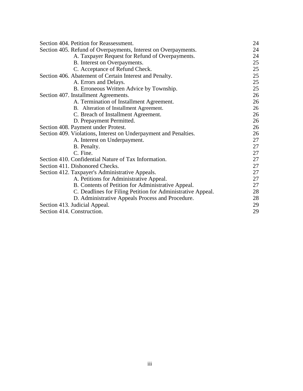| Section 404. Petition for Reassessment.                          | 24 |
|------------------------------------------------------------------|----|
| Section 405. Refund of Overpayments, Interest on Overpayments.   | 24 |
| A. Taxpayer Request for Refund of Overpayments.                  | 24 |
| B. Interest on Overpayments.                                     | 25 |
| C. Acceptance of Refund Check.                                   | 25 |
| Section 406. Abatement of Certain Interest and Penalty.          | 25 |
| A. Errors and Delays.                                            | 25 |
| B. Erroneous Written Advice by Township.                         | 25 |
| Section 407. Installment Agreements.                             | 26 |
| A. Termination of Installment Agreement.                         | 26 |
| B. Alteration of Installment Agreement.                          | 26 |
| C. Breach of Installment Agreement.                              | 26 |
| D. Prepayment Permitted.                                         | 26 |
| Section 408. Payment under Protest.                              | 26 |
| Section 409. Violations, Interest on Underpayment and Penalties. | 26 |
| A. Interest on Underpayment.                                     | 27 |
| B. Penalty.                                                      | 27 |
| C. Fine.                                                         | 27 |
| Section 410. Confidential Nature of Tax Information.             | 27 |
| Section 411. Dishonored Checks.                                  | 27 |
| Section 412. Taxpayer's Administrative Appeals.                  | 27 |
| A. Petitions for Administrative Appeal.                          | 27 |
| B. Contents of Petition for Administrative Appeal.               | 27 |
| C. Deadlines for Filing Petition for Administrative Appeal.      | 28 |
| D. Administrative Appeals Process and Procedure.                 | 28 |
| Section 413. Judicial Appeal.                                    | 29 |
| Section 414. Construction.                                       | 29 |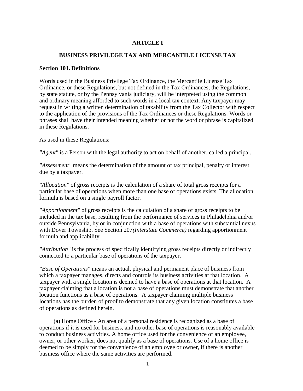## **ARTICLE I**

# **BUSINESS PRIVILEGE TAX AND MERCANTILE LICENSE TAX**

#### **Section 101. Definitions**

Words used in the Business Privilege Tax Ordinance, the Mercantile License Tax Ordinance, or these Regulations, but not defined in the Tax Ordinances, the Regulations, by state statute, or by the Pennsylvania judiciary, will be interpreted using the common and ordinary meaning afforded to such words in a local tax context. Any taxpayer may request in writing a written determination of taxability from the Tax Collector with respect to the application of the provisions of the Tax Ordinances or these Regulations. Words or phrases shall have their intended meaning whether or not the word or phrase is capitalized in these Regulations.

As used in these Regulations:

*"Agent"* is a Person with the legal authority to act on behalf of another, called a principal.

*"Assessment"* means the determination of the amount of tax principal, penalty or interest due by a taxpayer.

*"Allocation"* of gross receipts is the calculation of a share of total gross receipts for a particular base of operations when more than one base of operations exists. The allocation formula is based on a single payroll factor.

*"Apportionment"* of gross receipts is the calculation of a share of gross receipts to be included in the tax base, resulting from the performance of services in Philadelphia and/or outside Pennsylvania, by or in conjunction with a base of operations with substantial nexus with Dover Township. See Section 207*(Interstate Commerce)* regarding apportionment formula and applicability.

*"Attribution"* is the process of specifically identifying gross receipts directly or indirectly connected to a particular base of operations of the taxpayer.

*"Base of Operations"* means an actual, physical and permanent place of business from which a taxpayer manages, directs and controls its business activities at that location. A taxpayer with a single location is deemed to have a base of operations at that location. A taxpayer claiming that a location is not a base of operations must demonstrate that another location functions as a base of operations. A taxpayer claiming multiple business locations has the burden of proof to demonstrate that any given location constitutes a base of operations as defined herein.

(a) Home Office - An area of a personal residence is recognized as a base of operations if it is used for business, and no other base of operations is reasonably available to conduct business activities. A home office used for the convenience of an employee, owner, or other worker, does not qualify as a base of operations. Use of a home office is deemed to be simply for the convenience of an employee or owner, if there is another business office where the same activities are performed.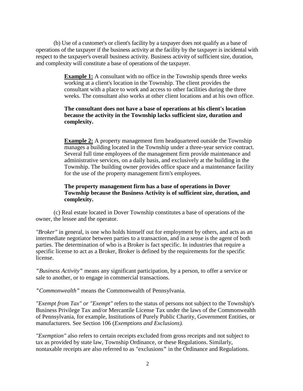(b) Use of a customer's or client's facility by a taxpayer does not qualify as a base of operations of the taxpayer if the business activity at the facility by the taxpayer is incidental with respect to the taxpayer's overall business activity. Business activity of sufficient size, duration, and complexity will constitute a base of operations of the taxpayer.

> **Example 1:** A consultant with no office in the Township spends three weeks working at a client's location in the Township. The client provides the consultant with a place to work and access to other facilities during the three weeks. The consultant also works at other client locations and at his own office.

## **The consultant does not have a base of operations at his client's location because the activity in the Township lacks sufficient size, duration and complexity.**

**Example 2:** A property management firm headquartered outside the Township manages a building located in the Township under a three-year service contract. Several full time employees of the management firm provide maintenance and administrative services, on a daily basis, and exclusively at the building in the Township. The building owner provides office space and a maintenance facility for the use of the property management firm's employees.

## **The property management firm has a base of operations in Dover Township because the Business Activity is of sufficient size, duration, and complexity.**

(c) Real estate located in Dover Township constitutes a base of operations of the owner, the lessee and the operator.

*"Broker"* in general, is one who holds himself out for employment by others, and acts as an intermediate negotiator between parties to a transaction, and in a sense is the agent of both parties. The determination of who is a Broker is fact specific. In industries that require a specific license to act as a Broker, Broker is defined by the requirements for the specific license.

*"Business Activity"* means any significant participation, by a person, to offer a service or sale to another, or to engage in commercial transactions.

*"Commonwealth"* means the Commonwealth of Pennsylvania.

*"Exempt from Tax" or "Exempt"* refers to the status of persons not subject to the Township's Business Privilege Tax and/or Mercantile License Tax under the laws of the Commonwealth of Pennsylvania, for example, Institutions of Purely Public Charity, Government Entities, or manufacturers. See Section 106 (*Exemptions and Exclusions).*

*"Exemption"* also refers to certain receipts excluded from gross receipts and not subject to tax as provided by state law, Township Ordinance, or these Regulations. Similarly, nontaxable receipts are also referred to as "exclusions**"** in the Ordinance and Regulations.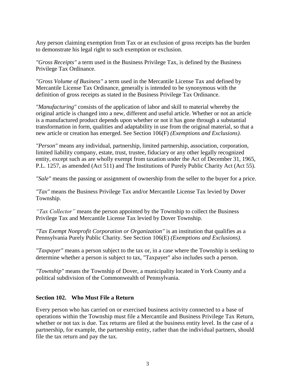Any person claiming exemption from Tax or an exclusion of gross receipts has the burden to demonstrate his legal right to such exemption or exclusion.

*"Gross Receipts"* a term used in the Business Privilege Tax, is defined by the Business Privilege Tax Ordinance.

*"Gross Volume of Business"* a term used in the Mercantile License Tax and defined by Mercantile License Tax Ordinance, generally is intended to be synonymous with the definition of gross receipts as stated in the Business Privilege Tax Ordinance.

*"Manufacturing"* consists of the application of labor and skill to material whereby the original article is changed into a new, different and useful article. Whether or not an article is a manufactured product depends upon whether or not it has gone through a substantial transformation in form, qualities and adaptability in use from the original material, so that a new article or creation has emerged. See Section 106(F) *(Exemptions and Exclusions)*.

*"Person"* means any individual, partnership, limited partnership, association, corporation, limited liability company, estate, trust, trustee, fiduciary or any other legally recognized entity, except such as are wholly exempt from taxation under the Act of December 31, 1965, P.L. 1257, as amended (Act 511) and The Institutions of Purely Public Charity Act (Act 55).

*"Sale"* means the passing or assignment of ownership from the seller to the buyer for a price.

*"Tax"* means the Business Privilege Tax and/or Mercantile License Tax levied by Dover Township.

*"Tax Collector"* means the person appointed by the Township to collect the Business Privilege Tax and Mercantile License Tax levied by Dover Township.

*"Tax Exempt Nonprofit Corporation or Organization"* is an institution that qualifies as a Pennsylvania Purely Public Charity. See Section 106(E) *(Exemptions and Exclusions).*

*"Taxpayer"* means a person subject to the tax or, in a case where the Township is seeking to determine whether a person is subject to tax, "Taxpayer" also includes such a person.

*"Township"* means the Township of Dover, a municipality located in York County and a political subdivision of the Commonwealth of Pennsylvania.

## **Section 102. Who Must File a Return**

Every person who has carried on or exercised business activity connected to a base of operations within the Township must file a Mercantile and Business Privilege Tax Return, whether or not tax is due. Tax returns are filed at the business entity level. In the case of a partnership, for example, the partnership entity, rather than the individual partners, should file the tax return and pay the tax.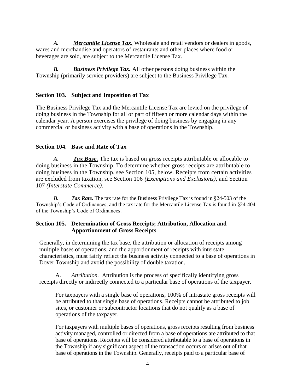*A. Mercantile License Tax.* Wholesale and retail vendors or dealers in goods, wares and merchandise and operators of restaurants and other places where food or beverages are sold, are subject to the Mercantile License Tax.

*B. Business Privilege Tax.* All other persons doing business within the Township (primarily service providers) are subject to the Business Privilege Tax.

## **Section 103. Subject and Imposition of Tax**

The Business Privilege Tax and the Mercantile License Tax are levied on the privilege of doing business in the Township for all or part of fifteen or more calendar days within the calendar year. A person exercises the privilege of doing business by engaging in any commercial or business activity with a base of operations in the Township.

## **Section 104. Base and Rate of Tax**

*A. Tax Base.* The tax is based on gross receipts attributable or allocable to doing business in the Township. To determine whether gross receipts are attributable to doing business in the Township, see Section 105, below. Receipts from certain activities are excluded from taxation, see Section 106 *(Exemptions and Exclusions),* and Section 107 *(Interstate Commerce).*

*B. Tax Rate.* The tax rate for the Business Privilege Tax is found in §24-503 of the Township's Code of Ordinances, and the tax rate for the Mercantile License Tax is found in §24-404 of the Township's Code of Ordinances.

## **Section 105. Determination of Gross Receipts; Attribution, Allocation and Apportionment of Gross Receipts**

Generally, in determining the tax base, the attribution or allocation of receipts among multiple bases of operations, and the apportionment of receipts with interstate characteristics, must fairly reflect the business activity connected to a base of operations in Dover Township and avoid the possibility of double taxation.

A. *Attribution.* Attribution is the process of specifically identifying gross receipts directly or indirectly connected to a particular base of operations of the taxpayer.

For taxpayers with a single base of operations, 100% of intrastate gross receipts will be attributed to that single base of operations. Receipts cannot be attributed to job sites, or customer or subcontractor locations that do not qualify as a base of operations of the taxpayer.

For taxpayers with multiple bases of operations, gross receipts resulting from business activity managed, controlled or directed from a base of operations are attributed to that base of operations. Receipts will be considered attributable to a base of operations in the Township if any significant aspect of the transaction occurs or arises out of that base of operations in the Township. Generally, receipts paid to a particular base of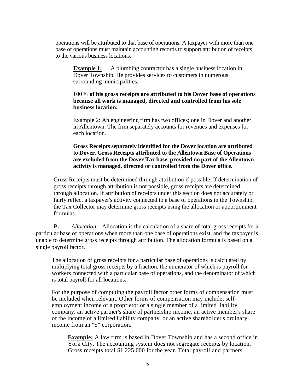operations will be attributed to that base of operations. A taxpayer with more than one base of operations must maintain accounting records to support attribution of receipts to the various business locations.

**Example 1:** A plumbing contractor has a single business location in Dover Township. He provides services to customers in numerous surrounding municipalities.

## **100% of his gross receipts are attributed to his Dover base of operations because all work is managed, directed and controlled from his sole business location.**

Example 2: An engineering firm has two offices; one in Dover and another in Allentown. The firm separately accounts for revenues and expenses for each location.

## **Gross Receipts separately identified for the Dover location are attributed to Dover. Gross Receipts attributed to the Allentown Base of Operations are excluded from the Dover Tax base, provided no part of the Allentown activity is managed, directed or controlled from the Dover office.**

Gross Receipts must be determined through attribution if possible. If determination of gross receipts through attribution is not possible, gross receipts are determined through allocation. If attribution of receipts under this section does not accurately or fairly reflect a taxpayer's activity connected to a base of operations in the Township, the Tax Collector may determine gross receipts using the allocation or apportionment formulas.

B**.** *Allocation.* Allocation is the calculation of a share of total gross receipts for a particular base of operations when more than one base of operations exist, and the taxpayer is unable to determine gross receipts through attribution. The allocation formula is based on a single payroll factor.

The allocation of gross receipts for a particular base of operations is calculated by multiplying total gross receipts by a fraction, the numerator of which is payroll for workers connected with a particular base of operations, and the denominator of which is total payroll for all locations.

For the purpose of computing the payroll factor other forms of compensation must be included when relevant. Other forms of compensation may include; selfemployment income of a proprietor or a single member of a limited liability company, an active partner's share of partnership income, an active member's share of the income of a limited liability company, or an active shareholder's ordinary income from an "S" corporation.

**Example:** A law firm is based in Dover Township and has a second office in York City. The accounting system does not segregate receipts by location. Gross receipts total \$1,225,000 for the year. Total payroll and partners'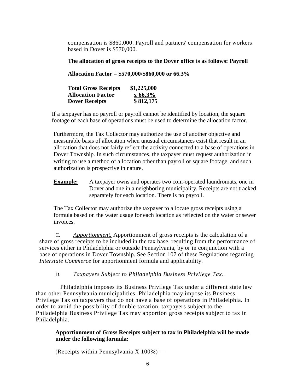compensation is \$860,000. Payroll and partners' compensation for workers based in Dover is \$570,000.

**The allocation of gross receipts to the Dover office is as follows: Payroll** 

**Allocation Factor = \$570,000/\$860,000 or 66.3%**

| <b>Total Gross Receipts</b> | \$1,225,000 |
|-----------------------------|-------------|
| <b>Allocation Factor</b>    | $x\,66.3\%$ |
| <b>Dover Receipts</b>       | \$812,175   |

If a taxpayer has no payroll or payroll cannot be identified by location, the square footage of each base of operations must be used to determine the allocation factor.

Furthermore, the Tax Collector may authorize the use of another objective and measurable basis of allocation when unusual circumstances exist that result in an allocation that does not fairly reflect the activity connected to a base of operations in Dover Township. In such circumstances, the taxpayer must request authorization in writing to use a method of allocation other than payroll or square footage, and such authorization is prospective in nature.

**Example:** A taxpayer owns and operates two coin-operated laundromats, one in Dover and one in a neighboring municipality. Receipts are not tracked separately for each location. There is no payroll.

The Tax Collector may authorize the taxpayer to allocate gross receipts using a formula based on the water usage for each location as reflected on the water or sewer invoices.

C. *Apportionment.* Apportionment of gross receipts is the calculation of a share of gross receipts to be included in the tax base, resulting from the performance of services either in Philadelphia or outside Pennsylvania, by or in conjunction with a base of operations in Dover Township. See Section 107 of these Regulations regarding *Interstate Commerce* for apportionment formula and applicability.

# D. *Taxpayers Subject to Philadelphia Business Privilege Tax.*

Philadelphia imposes its Business Privilege Tax under a different state law than other Pennsylvania municipalities. Philadelphia may impose its Business Privilege Tax on taxpayers that do not have a base of operations in Philadelphia. In order to avoid the possibility of double taxation, taxpayers subject to the Philadelphia Business Privilege Tax may apportion gross receipts subject to tax in Philadelphia.

## **Apportionment of Gross Receipts subject to tax in Philadelphia will be made under the following formula:**

(Receipts within Pennsylvania  $X$  100%) —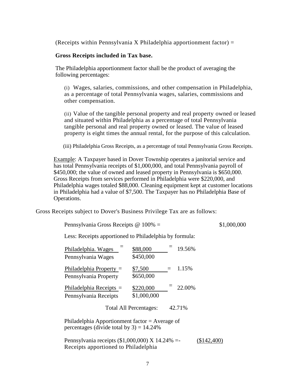(Receipts within Pennsylvania X Philadelphia apportionment factor)  $=$ 

#### **Gross Receipts included in Tax base.**

The Philadelphia apportionment factor shall be the product of averaging the following percentages:

(i) Wages, salaries, commissions, and other compensation in Philadelphia, as a percentage of total Pennsylvania wages, salaries, commissions and other compensation.

(ii) Value of the tangible personal property and real property owned or leased and situated within Philadelphia as a percentage of total Pennsylvania tangible personal and real property owned or leased. The value of leased property is eight times the annual rental, for the purpose of this calculation.

(iii) Philadelphia Gross Receipts, as a percentage of total Pennsylvania Gross Receipts.

Example: A Taxpayer based in Dover Township operates a janitorial service and has total Pennsylvania receipts of \$1,000,000, and total Pennsylvania payroll of \$450,000; the value of owned and leased property in Pennsylvania is \$650,000. Gross Receipts from services performed in Philadelphia were \$220,000, and Philadelphia wages totaled \$88,000. Cleaning equipment kept at customer locations in Philadelphia had a value of \$7,500. The Taxpayer has no Philadelphia Base of Operations.

Gross Receipts subject to Dover's Business Privilege Tax are as follows:

Pennsylvania Gross Receipts @ 100% = \$1,000,000

Less: Receipts apportioned to Philadelphia by formula:

| Philadelphia. Wages<br>Pennsylvania Wages          | \$88,000<br>\$450,000    |     | 19.56% |
|----------------------------------------------------|--------------------------|-----|--------|
| Philadelphia Property $=$<br>Pennsylvania Property | \$7,500<br>\$650,000     | $=$ | 1.15%  |
| Philadelphia Receipts $=$<br>Pennsylvania Receipts | \$220,000<br>\$1,000,000 |     | 22.00% |
|                                                    | Total All Percentages:   |     | 42.71% |
|                                                    |                          |     |        |

Philadelphia Apportionment factor = Average of percentages (divide total by  $3$ ) = 14.24%

Pennsylvania receipts (\$1,000,000) X 14.24% =- (\$142,400) Receipts apportioned to Philadelphia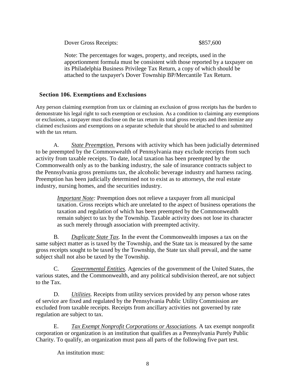Dover Gross Receipts:  $$857,600$ 

Note: The percentages for wages, property, and receipts, used in the apportionment formula must be consistent with those reported by a taxpayer on its Philadelphia Business Privilege Tax Return, a copy of which should be attached to the taxpayer's Dover Township BP/Mercantile Tax Return.

# **Section 106. Exemptions and Exclusions**

Any person claiming exemption from tax or claiming an exclusion of gross receipts has the burden to demonstrate his legal right to such exemption or exclusion. As a condition to claiming any exemptions or exclusions, a taxpayer must disclose on the tax return its total gross receipts and then itemize any claimed exclusions and exemptions on a separate schedule that should be attached to and submitted with the tax return.

A. *State Preemption.* Persons with activity which has been judicially determined to be preempted by the Commonwealth of Pennsylvania may exclude receipts from such activity from taxable receipts. To date, local taxation has been preempted by the Commonwealth only as to the banking industry, the sale of insurance contracts subject to the Pennsylvania gross premiums tax, the alcoholic beverage industry and harness racing. Preemption has been judicially determined not to exist as to attorneys, the real estate industry, nursing homes, and the securities industry.

*Important Note:* Preemption does not relieve a taxpayer from all municipal taxation. Gross receipts which are unrelated to the aspect of business operations the taxation and regulation of which has been preempted by the Commonwealth remain subject to tax by the Township. Taxable activity does not lose its character as such merely through association with preempted activity.

B*. Duplicate State Tax.* In the event the Commonwealth imposes a tax on the same subject matter as is taxed by the Township, and the State tax is measured by the same gross receipts sought to be taxed by the Township, the State tax shall prevail, and the same subject shall not also be taxed by the Township.

C. *Governmental Entities.* Agencies of the government of the United States, the various states, and the Commonwealth, and any political subdivision thereof, are not subject to the Tax.

D. *Utilities.* Receipts from utility services provided by any person whose rates of service are fixed and regulated by the Pennsylvania Public Utility Commission are excluded from taxable receipts. Receipts from ancillary activities not governed by rate regulation are subject to tax.

E. *Tax Exempt Nonprofit Corporations or Associations.* A tax exempt nonprofit corporation or organization is an institution that qualifies as a Pennsylvania Purely Public Charity. To qualify, an organization must pass all parts of the following five part test.

An institution must: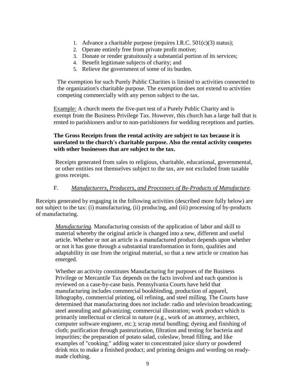- 1. Advance a charitable purpose (requires I.R.C. 501(c)(3) status);
- 2. Operate entirely free from private profit motive;
- 3. Donate or render gratuitously a substantial portion of its services;
- 4. Benefit legitimate subjects of charity; and
- 5. Relieve the government of some of its burden.

The exemption for such Purely Public Charities is limited to activities connected to the organization's charitable purpose. The exemption does not extend to activities competing commercially with any person subject to the tax.

Example: A church meets the five-part test of a Purely Public Charity and is exempt from the Business Privilege Tax. However, this church has a large hall that is rented to parishioners and/or to non-parishioners for wedding receptions and parties.

# **The Gross Receipts from the rental activity are subject to tax because it is unrelated to the church's charitable purpose. Also the rental activity competes with other businesses that are subject to the tax.**

Receipts generated from sales to religious, charitable, educational, governmental, or other entities not themselves subject to the tax, are not excluded from taxable gross receipts.

# F. *Manufacturers, Producers, and Processors of By-Products of Manufacture.*

Receipts generated by engaging in the following activities (described more fully below) are not subject to the tax: (i) manufacturing, (ii) producing, and (iii) processing of by-products of manufacturing.

*Manufacturing.* Manufacturing consists of the application of labor and skill to material whereby the original article is changed into a new, different and useful article. Whether or not an article is a manufactured product depends upon whether or not it has gone through a substantial transformation in form, qualities and adaptability in use from the original material, so that a new article or creation has emerged.

Whether an activity constitutes Manufacturing for purposes of the Business Privilege or Mercantile Tax depends on the facts involved and each question is reviewed on a case-by-case basis. Pennsylvania Courts have held that manufacturing includes commercial bookbinding, production of apparel, lithography, commercial printing, oil refining, and steel milling. The Courts have determined that manufacturing does *not* include: radio and television broadcasting; steel annealing and galvanizing; commercial illustration; work product which is primarily intellectual or clerical in nature (e.g., work of an attorney, architect, computer software engineer, etc.); scrap metal bundling; dyeing and finishing of cloth; purification through pasteurization, filtration and testing for bacteria and impurities; the preparation of potato salad, coleslaw, bread filling, and like examples of "cooking;" adding water to concentrated juice slurry or powdered drink mix to make a finished product; and printing designs and wording on readymade clothing.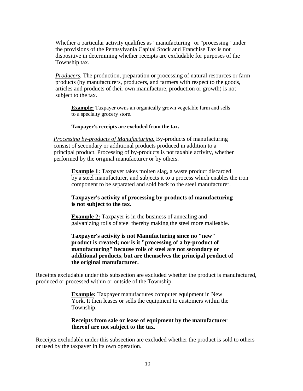Whether a particular activity qualifies as "manufacturing" or "processing" under the provisions of the Pennsylvania Capital Stock and Franchise Tax is not dispositive in determining whether receipts are excludable for purposes of the Township tax.

*Producers.* The production, preparation or processing of natural resources or farm products (by manufacturers, producers, and farmers with respect to the goods, articles and products of their own manufacture, production or growth) is not subject to the tax.

**Example:** Taxpayer owns an organically grown vegetable farm and sells to a specialty grocery store.

#### **Taxpayer's receipts are excluded from the tax.**

*Processing by-products of Manufacturing.* By-products of manufacturing consist of secondary or additional products produced in addition to a principal product. Processing of by-products is not taxable activity, whether performed by the original manufacturer or by others.

**Example 1:** Taxpayer takes molten slag, a waste product discarded by a steel manufacturer, and subjects it to a process which enables the iron component to be separated and sold back to the steel manufacturer.

#### **Taxpayer's activity of processing by-products of manufacturing is not subject to the tax.**

**Example 2:** Taxpayer is in the business of annealing and galvanizing rolls of steel thereby making the steel more malleable.

#### **Taxpayer's activity is not Manufacturing since no "new" product is created; nor is it "processing of a by-product of manufacturing" because rolls of steel are not secondary or additional products, but are themselves the principal product of the original manufacturer.**

Receipts excludable under this subsection are excluded whether the product is manufactured, produced or processed within or outside of the Township.

> **Example:** Taxpayer manufactures computer equipment in New York. It then leases or sells the equipment to customers within the Township.

#### **Receipts from sale or lease of equipment by the manufacturer thereof are not subject to the tax.**

Receipts excludable under this subsection are excluded whether the product is sold to others or used by the taxpayer in its own operation.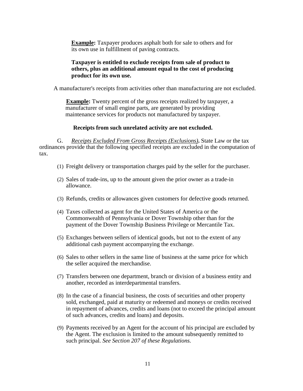**Example:** Taxpayer produces asphalt both for sale to others and for its own use in fulfillment of paving contracts.

## **Taxpayer is entitled to exclude receipts from sale of product to others, plus an additional amount equal to the cost of producing product for its own use.**

A manufacturer's receipts from activities other than manufacturing are not excluded.

**Example:** Twenty percent of the gross receipts realized by taxpayer, a manufacturer of small engine parts, are generated by providing maintenance services for products not manufactured by taxpayer.

## **Receipts from such unrelated activity are not excluded.**

G. *Receipts Excluded From Gross Receipts (Exclusions)***.** State Law or the tax ordinances provide that the following specified receipts are excluded in the computation of tax.

- (1) Freight delivery or transportation charges paid by the seller for the purchaser.
- (2) Sales of trade-ins, up to the amount given the prior owner as a trade-in allowance.
- (3) Refunds, credits or allowances given customers for defective goods returned.
- (4) Taxes collected as agent for the United States of America or the Commonwealth of Pennsylvania or Dover Township other than for the payment of the Dover Township Business Privilege or Mercantile Tax.
- (5) Exchanges between sellers of identical goods, but not to the extent of any additional cash payment accompanying the exchange.
- (6) Sales to other sellers in the same line of business at the same price for which the seller acquired the merchandise.
- (7) Transfers between one department, branch or division of a business entity and another, recorded as interdepartmental transfers.
- (8) In the case of a financial business, the costs of securities and other property sold, exchanged, paid at maturity or redeemed and moneys or credits received in repayment of advances, credits and loans (not to exceed the principal amount of such advances, credits and loans) and deposits.
- (9) Payments received by an Agent for the account of his principal are excluded by the Agent. The exclusion is limited to the amount subsequently remitted to such principal. *See Section 207 of these Regulations.*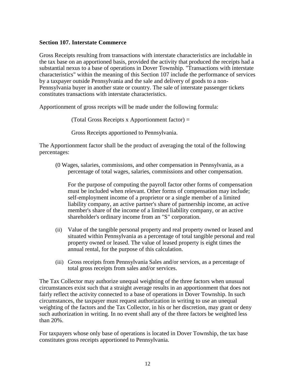#### **Section 107. Interstate Commerce**

Gross Receipts resulting from transactions with interstate characteristics are includable in the tax base on an apportioned basis, provided the activity that produced the receipts had a substantial nexus to a base of operations in Dover Township. "Transactions with interstate characteristics" within the meaning of this Section 107 include the performance of services by a taxpayer outside Pennsylvania and the sale and delivery of goods to a non-Pennsylvania buyer in another state or country. The sale of interstate passenger tickets constitutes transactions with interstate characteristics.

Apportionment of gross receipts will be made under the following formula:

(Total Gross Receipts x Apportionment factor) =

Gross Receipts apportioned to Pennsylvania.

The Apportionment factor shall be the product of averaging the total of the following percentages:

(0 Wages, salaries, commissions, and other compensation in Pennsylvania, as a percentage of total wages, salaries, commissions and other compensation.

For the purpose of computing the payroll factor other forms of compensation must be included when relevant. Other forms of compensation may include; self-employment income of a proprietor or a single member of a limited liability company, an active partner's share of partnership income, an active member's share of the income of a limited liability company, or an active shareholder's ordinary income from an "S" corporation.

- (ii) Value of the tangible personal property and real property owned or leased and situated within Pennsylvania as a percentage of total tangible personal and real property owned or leased. The value of leased property is eight times the annual rental, for the purpose of this calculation.
- (iii) Gross receipts from Pennsylvania Sales and/or services, as a percentage of total gross receipts from sales and/or services.

The Tax Collector may authorize unequal weighting of the three factors when unusual circumstances exist such that a straight average results in an apportionment that does not fairly reflect the activity connected to a base of operations in Dover Township. In such circumstances, the taxpayer must request authorization in writing to use an unequal weighting of the factors and the Tax Collector, in his or her discretion, may grant or deny such authorization in writing. In no event shall any of the three factors be weighted less than 20%.

For taxpayers whose only base of operations is located in Dover Township, the tax base constitutes gross receipts apportioned to Pennsylvania.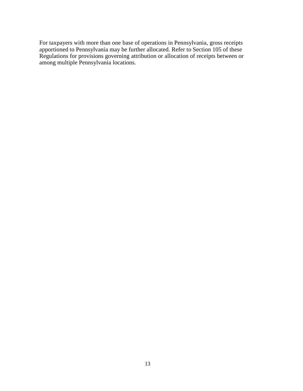For taxpayers with more than one base of operations in Pennsylvania, gross receipts apportioned to Pennsylvania may be further allocated. Refer to Section 105 of these Regulations for provisions governing attribution or allocation of receipts between or among multiple Pennsylvania locations.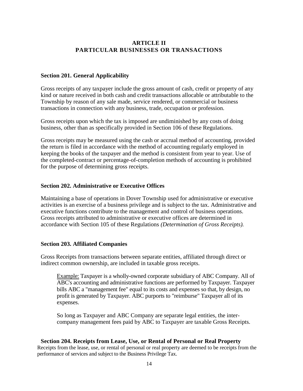## **ARTICLE II PARTICULAR BUSINESSES OR TRANSACTIONS**

#### **Section 201. General Applicability**

Gross receipts of any taxpayer include the gross amount of cash, credit or property of any kind or nature received in both cash and credit transactions allocable or attributable to the Township by reason of any sale made, service rendered, or commercial or business transactions in connection with any business, trade, occupation or profession.

Gross receipts upon which the tax is imposed are undiminished by any costs of doing business, other than as specifically provided in Section 106 of these Regulations.

Gross receipts may be measured using the cash or accrual method of accounting, provided the return is filed in accordance with the method of accounting regularly employed in keeping the books of the taxpayer and the method is consistent from year to year. Use of the completed-contract or percentage-of-completion methods of accounting is prohibited for the purpose of determining gross receipts.

#### **Section 202. Administrative or Executive Offices**

Maintaining a base of operations in Dover Township used for administrative or executive activities is an exercise of a business privilege and is subject to the tax. Administrative and executive functions contribute to the management and control of business operations. Gross receipts attributed to administrative or executive offices are determined in accordance with Section 105 of these Regulations *(Determination of Gross Receipts).*

#### **Section 203. Affiliated Companies**

Gross Receipts from transactions between separate entities, affiliated through direct or indirect common ownership, are included in taxable gross receipts.

Example: Taxpayer is a wholly-owned corporate subsidiary of ABC Company. All of ABC's accounting and administrative functions are performed by Taxpayer. Taxpayer bills ABC a "management fee" equal to its costs and expenses so that, by design, no profit is generated by Taxpayer. ABC purports to "reimburse" Taxpayer all of its expenses.

So long as Taxpayer and ABC Company are separate legal entities, the intercompany management fees paid by ABC to Taxpayer are taxable Gross Receipts.

#### **Section 204. Receipts from Lease, Use, or Rental of Personal or Real Property**

Receipts from the lease, use, or rental of personal or real property are deemed to be receipts from the performance of services and subject to the Business Privilege Tax.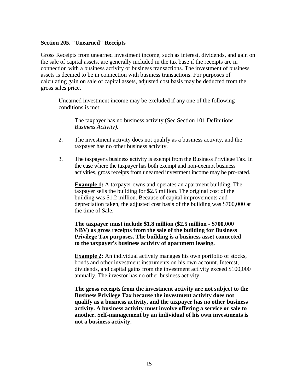#### **Section 205. "Unearned" Receipts**

Gross Receipts from unearned investment income, such as interest, dividends, and gain on the sale of capital assets, are generally included in the tax base if the receipts are in connection with a business activity or business transactions. The investment of business assets is deemed to be in connection with business transactions. For purposes of calculating gain on sale of capital assets, adjusted cost basis may be deducted from the gross sales price.

Unearned investment income may be excluded if any one of the following conditions is met:

- 1. The taxpayer has no business activity (See Section 101 Definitions *Business Activity).*
- 2. The investment activity does not qualify as a business activity, and the taxpayer has no other business activity.
- 3. The taxpayer's business activity is exempt from the Business Privilege Tax. In the case where the taxpayer has both exempt and non-exempt business activities, gross receipts from unearned investment income may be pro-rated.

**Example 1:** A taxpayer owns and operates an apartment building. The taxpayer sells the building for \$2.5 million. The original cost of the building was \$1.2 million. Because of capital improvements and depreciation taken, the adjusted cost basis of the building was \$700,000 at the time of Sale.

**The taxpayer must include \$1.8 million (\$2.5 million - \$700,000 NBV) as gross receipts from the sale of the building for Business Privilege Tax purposes. The building is a business asset connected to the taxpayer's business activity of apartment leasing.**

**Example 2:** An individual actively manages his own portfolio of stocks, bonds and other investment instruments on his own account. Interest, dividends, and capital gains from the investment activity exceed \$100,000 annually. The investor has no other business activity.

**The gross receipts from the investment activity are not subject to the Business Privilege Tax because the investment activity does not qualify as a business activity, and the taxpayer has no other business activity. A business activity must involve offering a service or sale to another. Self-management by an individual of his own investments is not a business activity.**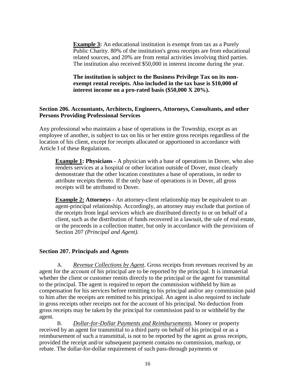**Example 3:** An educational institution is exempt from tax as a Purely Public Charity. 80% of the institution's gross receipts are from educational related sources, and 20% are from rental activities involving third parties. The institution also received \$50,000 in interest income during the year.

**The institution is subject to the Business Privilege Tax on its nonexempt rental receipts. Also included in the tax base is \$10,000 of interest income on a pro-rated basis (\$50,000 X 20%).**

#### **Section 206. Accountants, Architects, Engineers, Attorneys, Consultants, and other Persons Providing Professional Services**

Any professional who maintains a base of operations in the Township, except as an employee of another, is subject to tax on his or her entire gross receipts regardless of the location of his client, except for receipts allocated or apportioned in accordance with Article I of these Regulations.

**Example 1: Physicians -** A physician with a base of operations in Dover, who also renders services at a hospital or other location outside of Dover, must clearly demonstrate that the other location constitutes a base of operations, in order to attribute receipts thereto. If the only base of operations is in Dover, all gross receipts will be attributed to Dover.

**Example 2:** Attorneys - An attorney-client relationship may be equivalent to an agent-principal relationship. Accordingly, an attorney may exclude that portion of the receipts from legal services which are distributed directly to or on behalf of a client, such as the distribution of funds recovered in a lawsuit, the sale of real estate, or the proceeds in a collection matter, but only in accordance with the provisions of Section 207 *(Principal and Agent).*

## **Section 207. Principals and Agents**

A. *Revenue Collections by Agent.* Gross receipts from revenues received by an agent for the account of his principal are to be reported by the principal. It is immaterial whether the client or customer remits directly to the principal or the agent for transmittal to the principal. The agent is required to report the commission withheld by him as compensation for his services before remitting to his principal and/or any commission paid to him after the receipts are remitted to his principal. An agent is also required to include in gross receipts other receipts not for the account of his principal. No deduction from gross receipts may be taken by the principal for commission paid to or withheld by the agent.

B. *Dollar-for-Dollar Payments and Reimbursements.* Money or property received by an agent for transmittal to a third party on behalf of his principal or as a reimbursement of such a transmittal, is not to be reported by the agent as gross receipts, provided the receipt and/or subsequent payment contains no commission, markup, or rebate. The dollar-for-dollar requirement of such pass-through payments or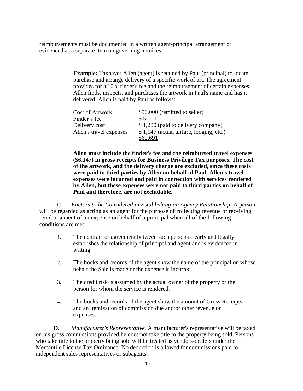reimbursements must be documented in a written agent-principal arrangement or evidenced as a separate item on governing invoices.

> **Example:** Taxpayer Allen (agent) is retained by Paul (principal) to locate, purchase and arrange delivery of a specific work of art. The agreement provides for a 10% finder's fee and the reimbursement of certain expenses. Allen finds, inspects, and purchases the artwork in Paul's name and has it delivered. Allen is paid by Paul as follows:

| <b>Cost of Artwork</b>  | \$50,000 (remitted to seller)            |
|-------------------------|------------------------------------------|
| Finder's fee            | \$5,000                                  |
| Delivery cost           | \$1,200 (paid to delivery company)       |
| Allen's travel expenses | $$1,147$ (actual airfare, lodging, etc.) |
|                         | \$60,691                                 |

**Allen must include the finder's fee and the reimbursed travel expenses (\$6,147) in gross receipts for Business Privilege Tax purposes. The cost of the artwork, and the delivery charge are excluded, since these costs were paid to third parties by Allen on behalf of Paul. Allen's travel expenses were incurred and paid in connection with services rendered by Allen, but these expenses were not paid to third parties on behalf of Paul and therefore, are not excludable.**

C. *Factors to be Considered in Establishing an Agency Relationship.* A person will be regarded as acting as an agent for the purpose of collecting revenue or receiving reimbursement of an expense on behalf of a principal when all of the following conditions are met:

- 1. The contract or agreement between such persons clearly and legally establishes the relationship of principal and agent and is evidenced in writing.
- 2. The books and records of the agent show the name of the principal on whose behalf the Sale is made or the expense is incurred.
- 3. The credit risk is assumed by the actual owner of the property or the person for whom the service is rendered.
- 4. The books and records of the agent show the amount of Gross Receipts and an itemization of commission due and/or other revenue or expenses.

D**.** *Manufacturer's Representative.* A manufacturer's representative will be taxed on his gross commissions provided he does not take title to the property being sold. Persons who take title to the property being sold will be treated as vendors-dealers under the Mercantile License Tax Ordinance. No deduction is allowed for commissions paid to independent sales representatives or subagents.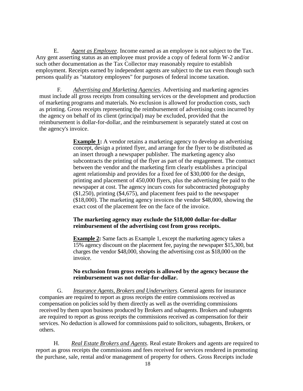E. *Agent as Employee*. Income earned as an employee is not subject to the Tax. Any gent asserting status as an employee must provide a copy of federal form W-2 and/or such other documentation as the Tax Collector may reasonably require to establish employment. Receipts earned by independent agents are subject to the tax even though such persons qualify as "statutory employees" for purposes of federal income taxation.

F. *Advertising and Marketing Agencies*. Advertising and marketing agencies must include all gross receipts from consulting services or the development and production of marketing programs and materials. No exclusion is allowed for production costs, such as printing. Gross receipts representing the reimbursement of advertising costs incurred by the agency on behalf of its client (principal) may be excluded, provided that the reimbursement is dollar-for-dollar, and the reimbursement is separately stated at cost on the agency's invoice.

> **Example 1:** A vendor retains a marketing agency to develop an advertising concept, design a printed flyer, and arrange for the flyer to be distributed as an insert through a newspaper publisher. The marketing agency also subcontracts the printing of the flyer as part of the engagement. The contract between the vendor and the marketing firm clearly establishes a principal agent relationship and provides for a fixed fee of \$30,000 for the design, printing and placement of 450,000 flyers, plus the advertising fee paid to the newspaper at cost. The agency incurs costs for subcontracted photography (\$1,250), printing (\$4,675), and placement fees paid to the newspaper (\$18,000). The marketing agency invoices the vendor \$48,000, showing the exact cost of the placement fee on the face of the invoice.

## **The marketing agency may exclude the \$18,000 dollar-for-dollar reimbursement of the advertising cost from gross receipts.**

**Example 2:** Same facts as Example 1, except the marketing agency takes a 15% agency discount on the placement fee, paying the newspaper \$15,300, but charges the vendor \$48,000, showing the advertising cost as \$18,000 on the invoice.

## **No exclusion from gross receipts is allowed by the agency because the reimbursement was not dollar-for-dollar.**

G. *Insurance Agents, Brokers and Underwriters*. General agents for insurance companies are required to report as gross receipts the entire commissions received as compensation on policies sold by them directly as well as the overriding commissions received by them upon business produced by Brokers and subagents. Brokers and subagents are required to report as gross receipts the commissions received as compensation for their services. No deduction is allowed for commissions paid to solicitors, subagents, Brokers, or others.

H. *Real Estate Brokers and Agents*. Real estate Brokers and agents are required to report as gross receipts the commissions and fees received for services rendered in promoting the purchase, sale, rental and/or management of property for others. Gross Receipts include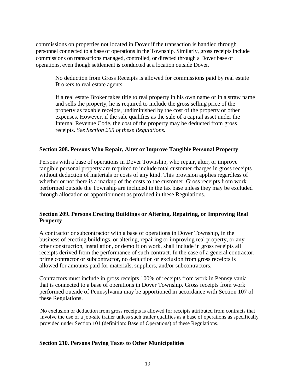commissions on properties not located in Dover if the transaction is handled through personnel connected to a base of operations in the Township. Similarly, gross receipts include commissions on transactions managed, controlled, or directed through a Dover base of operations, even though settlement is conducted at a location outside Dover.

No deduction from Gross Receipts is allowed for commissions paid by real estate Brokers to real estate agents.

If a real estate Broker takes title to real property in his own name or in a straw name and sells the property, he is required to include the gross selling price of the property as taxable receipts, undiminished by the cost of the property or other expenses. However, if the sale qualifies as the sale of a capital asset under the Internal Revenue Code, the cost of the property may be deducted from gross receipts. *See Section 205 of these Regulations.*

#### **Section 208. Persons Who Repair, Alter or Improve Tangible Personal Property**

Persons with a base of operations in Dover Township, who repair, alter, or improve tangible personal property are required to include total customer charges in gross receipts without deduction of materials or costs of any kind. This provision applies regardless of whether or not there is a markup of the costs to the customer. Gross receipts from work performed outside the Township are included in the tax base unless they may be excluded through allocation or apportionment as provided in these Regulations.

## **Section 209. Persons Erecting Buildings or Altering, Repairing, or Improving Real Property**

A contractor or subcontractor with a base of operations in Dover Township, in the business of erecting buildings, or altering, repairing or improving real property, or any other construction, installation, or demolition work, shall include in gross receipts all receipts derived from the performance of such contract. In the case of a general contractor, prime contractor or subcontractor, no deduction or exclusion from gross receipts is allowed for amounts paid for materials, suppliers, and/or subcontractors.

Contractors must include in gross receipts 100% of receipts from work in Pennsylvania that is connected to a base of operations in Dover Township. Gross receipts from work performed outside of Pennsylvania may be apportioned in accordance with Section 107 of these Regulations.

No exclusion or deduction from gross receipts is allowed for receipts attributed from contracts that involve the use of a job-site trailer unless such trailer qualifies as a base of operations as specifically provided under Section 101 (definition: Base of Operations) of these Regulations.

#### **Section 210. Persons Paying Taxes to Other Municipalities**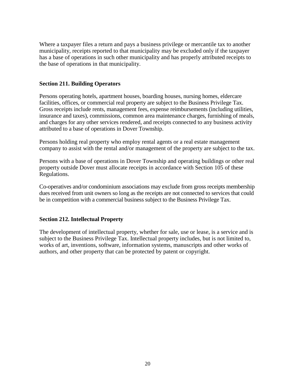Where a taxpayer files a return and pays a business privilege or mercantile tax to another municipality, receipts reported to that municipality may be excluded only if the taxpayer has a base of operations in such other municipality and has properly attributed receipts to the base of operations in that municipality.

## **Section 211. Building Operators**

Persons operating hotels, apartment houses, boarding houses, nursing homes, eldercare facilities, offices, or commercial real property are subject to the Business Privilege Tax. Gross receipts include rents, management fees, expense reimbursements (including utilities, insurance and taxes), commissions, common area maintenance charges, furnishing of meals, and charges for any other services rendered, and receipts connected to any business activity attributed to a base of operations in Dover Township.

Persons holding real property who employ rental agents or a real estate management company to assist with the rental and/or management of the property are subject to the tax.

Persons with a base of operations in Dover Township and operating buildings or other real property outside Dover must allocate receipts in accordance with Section 105 of these Regulations.

Co-operatives and/or condominium associations may exclude from gross receipts membership dues received from unit owners so long as the receipts are not connected to services that could be in competition with a commercial business subject to the Business Privilege Tax.

## **Section 212. Intellectual Property**

The development of intellectual property, whether for sale, use or lease, is a service and is subject to the Business Privilege Tax. Intellectual property includes, but is not limited to, works of art, inventions, software, information systems, manuscripts and other works of authors, and other property that can be protected by patent or copyright.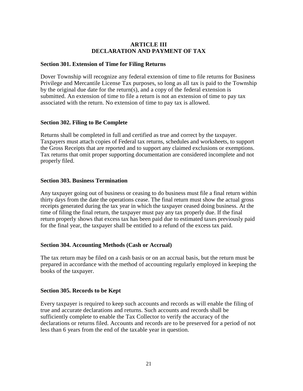## **ARTICLE III DECLARATION AND PAYMENT OF TAX**

#### **Section 301. Extension of Time for Filing Returns**

Dover Township will recognize any federal extension of time to file returns for Business Privilege and Mercantile License Tax purposes, so long as all tax is paid to the Township by the original due date for the return(s), and a copy of the federal extension is submitted. An extension of time to file a return is not an extension of time to pay tax associated with the return. No extension of time to pay tax is allowed.

## **Section 302. Filing to Be Complete**

Returns shall be completed in full and certified as true and correct by the taxpayer. Taxpayers must attach copies of Federal tax returns, schedules and worksheets, to support the Gross Receipts that are reported and to support any claimed exclusions or exemptions. Tax returns that omit proper supporting documentation are considered incomplete and not properly filed.

## **Section 303. Business Termination**

Any taxpayer going out of business or ceasing to do business must file a final return within thirty days from the date the operations cease. The final return must show the actual gross receipts generated during the tax year in which the taxpayer ceased doing business. At the time of filing the final return, the taxpayer must pay any tax properly due. If the final return properly shows that excess tax has been paid due to estimated taxes previously paid for the final year, the taxpayer shall be entitled to a refund of the excess tax paid.

## **Section 304. Accounting Methods (Cash or Accrual)**

The tax return may be filed on a cash basis or on an accrual basis, but the return must be prepared in accordance with the method of accounting regularly employed in keeping the books of the taxpayer.

## **Section 305. Records to be Kept**

Every taxpayer is required to keep such accounts and records as will enable the filing of true and accurate declarations and returns. Such accounts and records shall be sufficiently complete to enable the Tax Collector to verify the accuracy of the declarations or returns filed. Accounts and records are to be preserved for a period of not less than 6 years from the end of the taxable year in question.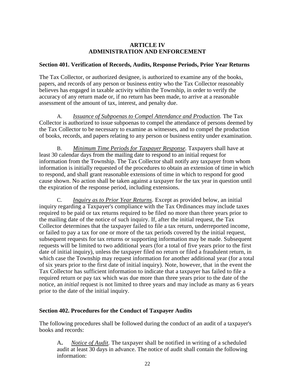## **ARTICLE IV ADMINISTRATION AND ENFORCEMENT**

#### **Section 401. Verification of Records, Audits, Response Periods, Prior Year Returns**

The Tax Collector, or authorized designee, is authorized to examine any of the books, papers, and records of any person or business entity who the Tax Collector reasonably believes has engaged in taxable activity within the Township, in order to verify the accuracy of any return made or, if no return has been made, to arrive at a reasonable assessment of the amount of tax, interest, and penalty due.

A. *Issuance of Subpoenas to Compel Attendance and Production.* The Tax Collector is authorized to issue subpoenas to compel the attendance of persons deemed by the Tax Collector to be necessary to examine as witnesses, and to compel the production of books, records, and papers relating to any person or business entity under examination.

B. *Minimum Time Periods for Taxpayer Response.* Taxpayers shall have at least 30 calendar days from the mailing date to respond to an initial request for information from the Township. The Tax Collector shall notify any taxpayer from whom information is initially requested of the procedures to obtain an extension of time in which to respond, and shall grant reasonable extensions of time in which to respond for good cause shown. No action shall be taken against a taxpayer for the tax year in question until the expiration of the response period, including extensions.

C. *Inquiry as to Prior Year Returns.* Except as provided below, an initial inquiry regarding a Taxpayer's compliance with the Tax Ordinances may include taxes required to be paid or tax returns required to be filed no more than three years prior to the mailing date of the notice of such inquiry. If, after the initial request, the Tax Collector determines that the taxpayer failed to file a tax return, underreported income, or failed to pay a tax for one or more of the tax periods covered by the initial request, subsequent requests for tax returns or supporting information may be made. Subsequent requests will be limited to two additional years (for a total of five years prior to the first date of initial inquiry), unless the taxpayer filed no return or filed a fraudulent return, in which case the Township may request information for another additional year (for a total of six years prior to the first date of initial inquiry). Note, however, that in the event the Tax Collector has sufficient information to indicate that a taxpayer has failed to file a required return or pay tax which was due more than three years prior to the date of the notice, an *initial* request is not limited to three years and may include as many as 6 years prior to the date of the initial inquiry.

## **Section 402. Procedures for the Conduct of Taxpayer Audits**

The following procedures shall be followed during the conduct of an audit of a taxpayer's books and records:

A**.** *Notice of Audit.* The taxpayer shall be notified in writing of a scheduled audit at least 30 days in advance. The notice of audit shall contain the following information: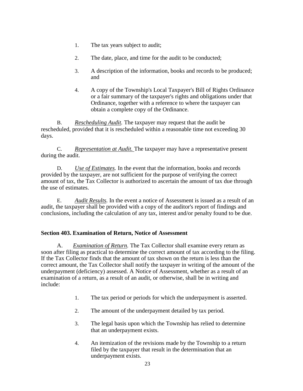- 1. The tax years subject to audit;
- 2. The date, place, and time for the audit to be conducted;
- 3. A description of the information, books and records to be produced; and
- 4. A copy of the Township's Local Taxpayer's Bill of Rights Ordinance or a fair summary of the taxpayer's rights and obligations under that Ordinance, together with a reference to where the taxpayer can obtain a complete copy of the Ordinance.

B. *Rescheduling Audit.* The taxpayer may request that the audit be rescheduled, provided that it is rescheduled within a reasonable time not exceeding 30 days.

C. *Representation at Audit.* The taxpayer may have a representative present during the audit.

D. *Use of Estimates.* In the event that the information, books and records provided by the taxpayer, are not sufficient for the purpose of verifying the correct amount of tax, the Tax Collector is authorized to ascertain the amount of tax due through the use of estimates.

E. *Audit Results.* In the event a notice of Assessment is issued as a result of an audit, the taxpayer shall be provided with a copy of the auditor's report of findings and conclusions, including the calculation of any tax, interest and/or penalty found to be due.

# **Section 403. Examination of Return, Notice of Assessment**

A. *Examination of Return.* The Tax Collector shall examine every return as soon after filing as practical to determine the correct amount of tax according to the filing. If the Tax Collector finds that the amount of tax shown on the return is less than the correct amount, the Tax Collector shall notify the taxpayer in writing of the amount of the underpayment (deficiency) assessed. A Notice of Assessment, whether as a result of an examination of a return, as a result of an audit, or otherwise, shall be in writing and include:

- 1. The tax period or periods for which the underpayment is asserted.
- 2. The amount of the underpayment detailed by tax period.
- 3. The legal basis upon which the Township has relied to determine that an underpayment exists.
- 4. An itemization of the revisions made by the Township to a return filed by the taxpayer that result in the determination that an underpayment exists.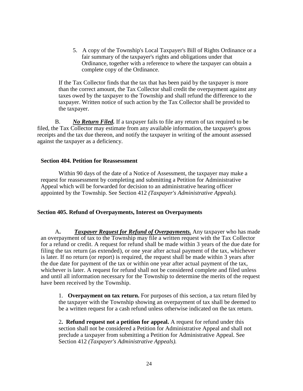5. A copy of the Township's Local Taxpayer's Bill of Rights Ordinance or a fair summary of the taxpayer's rights and obligations under that Ordinance, together with a reference to where the taxpayer can obtain a complete copy of the Ordinance.

If the Tax Collector finds that the tax that has been paid by the taxpayer is more than the correct amount, the Tax Collector shall credit the overpayment against any taxes owed by the taxpayer to the Township and shall refund the difference to the taxpayer. Written notice of such action by the Tax Collector shall be provided to the taxpayer.

B. *No Return Filed.* If a taxpayer fails to file any return of tax required to be filed, the Tax Collector may estimate from any available information, the taxpayer's gross receipts and the tax due thereon, and notify the taxpayer in writing of the amount assessed against the taxpayer as a deficiency.

#### **Section 404. Petition for Reassessment**

Within 90 days of the date of a Notice of Assessment, the taxpayer may make a request for reassessment by completing and submitting a Petition for Administrative Appeal which will be forwarded for decision to an administrative hearing officer appointed by the Township. See Section 412 *(Taxpayer's Administrative Appeals).*

## **Section 405. Refund of Overpayments, Interest on Overpayments**

A**.** *Taxpayer Request for Refund of Overpayments.* Any taxpayer who has made an overpayment of tax to the Township may file a written request with the Tax Collector for a refund or credit. A request for refund shall be made within 3 years of the due date for filing the tax return (as extended), or one year after actual payment of the tax, whichever is later. If no return (or report) is required, the request shall be made within 3 years after the due date for payment of the tax or within one year after actual payment of the tax, whichever is later. A request for refund shall not be considered complete and filed unless and until all information necessary for the Township to determine the merits of the request have been received by the Township.

1. **Overpayment on tax return.** For purposes of this section, a tax return filed by the taxpayer with the Township showing an overpayment of tax shall be deemed to be a written request for a cash refund unless otherwise indicated on the tax return.

2**. Refund request not a petition for appeal.** A request for refund under this section shall not be considered a Petition for Administrative Appeal and shall not preclude a taxpayer from submitting a Petition for Administrative Appeal. See Section 412 *(Taxpayer's Administrative Appeals).*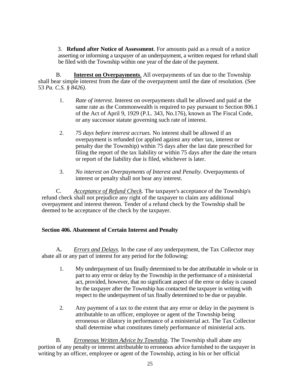3. **Refund after Notice of Assessment**. For amounts paid as a result of a notice asserting or informing a taxpayer of an underpayment, a written request for refund shall be filed with the Township within one year of the date of the payment.

B. **Interest on Overpayments***.* All overpayments of tax due to the Township shall bear simple interest from the date of the overpayment until the date of resolution. (See 53 *Pa. C.S. § 8426).*

- 1. *Rate of interest.* Interest on overpayments shall be allowed and paid at the same rate as the Commonwealth is required to pay pursuant to Section 806.1 of the Act of April 9, 1929 (P.L. 343, No.176), known as The Fiscal Code, or any successor statute governing such rate of interest.
- 2. *75 days before interest accrues.* No interest shall be allowed if an overpayment is refunded (or applied against any other tax, interest or penalty due the Township) within 75 days after the last date prescribed for filing the report of the tax liability or within 75 days after the date the return or report of the liability due is filed, whichever is later.
- 3. *No interest on Overpayments of Interest and Penalty.* Overpayments of interest or penalty shall not bear any interest.

C. *Acceptance of Refund Check.* The taxpayer's acceptance of the Township's refund check shall not prejudice any right of the taxpayer to claim any additional overpayment and interest thereon. Tender of a refund check by the Township shall be deemed to be acceptance of the check by the taxpayer.

# **Section 406. Abatement of Certain Interest and Penalty**

A**.** *Errors and Delays.* In the case of any underpayment, the Tax Collector may abate all or any part of interest for any period for the following:

- 1. My underpayment of tax finally determined to be due attributable in whole or in part to any error or delay by the Township in the performance of a ministerial act, provided, however, that no significant aspect of the error or delay is caused by the taxpayer after the Township has contacted the taxpayer in writing with respect to the underpayment of tax finally determined to be due or payable.
- 2. Any payment of a tax to the extent that any error or delay in the payment is attributable to an officer, employee or agent of the Township being erroneous or dilatory in performance of a ministerial act. The Tax Collector shall determine what constitutes timely performance of ministerial acts.

B. *Erroneous Written Advice by Township.* The Township shall abate any portion of any penalty or interest attributable to erroneous advice furnished to the taxpayer in writing by an officer, employee or agent of the Township, acting in his or her official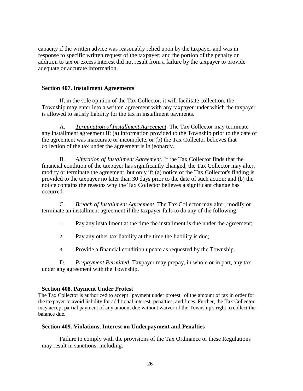capacity if the written advice was reasonably relied upon by the taxpayer and was in response to specific written request of the taxpayer; and the portion of the penalty or addition to tax or excess interest did not result from a failure by the taxpayer to provide adequate or accurate information.

#### **Section 407. Installment Agreements**

If, in the sole opinion of the Tax Collector, it will facilitate collection, the Township may enter into a written agreement with any taxpayer under which the taxpayer is allowed to satisfy liability for the tax in installment payments.

A. *Termination of Installment Agreement.* The Tax Collector may terminate any installment agreement if: (a) information provided to the Township prior to the date of the agreement was inaccurate or incomplete, or (b) the Tax Collector believes that collection of the tax under the agreement is in jeopardy.

B. *Alteration of Installment Agreement.* If the Tax Collector finds that the financial condition of the taxpayer has significantly changed, the Tax Collector may alter, modify or terminate the agreement, but only if: (a) notice of the Tax Collector's finding is provided to the taxpayer no later than 30 days prior to the date of such action; and (b) the notice contains the reasons why the Tax Collector believes a significant change has occurred.

C. *Breach of Installment Agreement.* The Tax Collector may alter, modify or terminate an installment agreement if the taxpayer fails to do any of the following:

1. Pay any installment at the time the installment is due under the agreement;

2. Pay any other tax liability at the time the liability is due;

3. Provide a financial condition update as requested by the Township.

D. *Prepayment Permitted.* Taxpayer may prepay, in whole or in part, any tax under any agreement with the Township.

## **Section 408. Payment Under Protest**

The Tax Collector is authorized to accept "payment under protest" of the amount of tax in order for the taxpayer to avoid liability for additional interest, penalties, and fines. Further, the Tax Collector may accept partial payment of any amount due without waiver of the Township's right to collect the balance due.

## **Section 409. Violations, Interest on Underpayment and Penalties**

Failure to comply with the provisions of the Tax Ordinance or these Regulations may result in sanctions, including: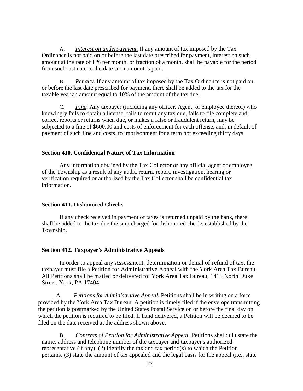A. *Interest on underpayment.* If any amount of tax imposed by the Tax Ordinance is not paid on or before the last date prescribed for payment, interest on such amount at the rate of I % per month, or fraction of a month, shall be payable for the period from such last date to the date such amount is paid.

B. *Penalty.* If any amount of tax imposed by the Tax Ordinance is not paid on or before the last date prescribed for payment, there shall be added to the tax for the taxable year an amount equal to 10% of the amount of the tax due.

C. *Fine.* Any taxpayer (including any officer, Agent, or employee thereof) who knowingly fails to obtain a license, fails to remit any tax due, fails to file complete and correct reports or returns when due, or makes a false or fraudulent return, may be subjected to a fine of \$600.00 and costs of enforcement for each offense, and, in default of payment of such fine and costs, to imprisonment for a term not exceeding thirty days.

#### **Section 410. Confidential Nature of Tax Information**

Any information obtained by the Tax Collector or any official agent or employee of the Township as a result of any audit, return, report, investigation, hearing or verification required or authorized by the Tax Collector shall be confidential tax information.

#### **Section 411. Dishonored Checks**

If any check received in payment of taxes is returned unpaid by the bank, there shall be added to the tax due the sum charged for dishonored checks established by the Township.

#### **Section 412. Taxpayer's Administrative Appeals**

In order to appeal any Assessment, determination or denial of refund of tax, the taxpayer must file a Petition for Administrative Appeal with the York Area Tax Bureau. All Petitions shall be mailed or delivered to: York Area Tax Bureau, 1415 North Duke Street, York, PA 17404.

A. *Petitions for Administrative Appeal.* Petitions shall be in writing on a form provided by the York Area Tax Bureau. A petition is timely filed if the envelope transmitting the petition is postmarked by the United States Postal Service on or before the final day on which the petition is required to be filed. If hand delivered, a Petition will be deemed to be filed on the date received at the address shown above.

B. *Contents of Petition for Administrative Appeal.* Petitions shall: (1) state the name, address and telephone number of the taxpayer and taxpayer's authorized representative (if any), (2) identify the tax and tax period(s) to which the Petition pertains, (3) state the amount of tax appealed and the legal basis for the appeal (i.e., state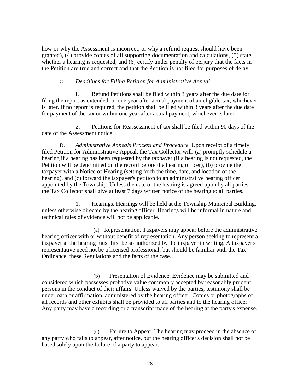how or why the Assessment is incorrect; or why a refund request should have been granted), (4) provide copies of all supporting documentation and calculations, (5) state whether a hearing is requested, and (6) certify under penalty of perjury that the facts in the Petition are true and correct and that the Petition is not filed for purposes of delay.

## C. *Deadlines for Filing Petition for Administrative Appeal.*

I. Refund Petitions shall be filed within 3 years after the due date for filing the report as extended, or one year after actual payment of an eligible tax, whichever is later. If no report is required, the petition shall be filed within 3 years after the due date for payment of the tax or within one year after actual payment, whichever is later.

2. Petitions for Reassessment of tax shall be filed within 90 days of the date of the Assessment notice.

D. *Administrative Appeals Process and Procedure.* Upon receipt of a timely filed Petition for Administrative Appeal, the Tax Collector will: (a) promptly schedule a hearing if a hearing has been requested by the taxpayer (if a hearing is not requested, the Petition will be determined on the record before the hearing officer), (b) provide the taxpayer with a Notice of Hearing (setting forth the time, date, and location of the hearing), and (c) forward the taxpayer's petition to an administrative hearing officer appointed by the Township. Unless the date of the hearing is agreed upon by all parties, the Tax Collector shall give at least 7 days written notice of the hearing to all parties.

1. Hearings. Hearings will be held at the Township Municipal Building, unless otherwise directed by the hearing officer. Hearings will be informal in nature and technical rules of evidence will not be applicable.

(a) Representation. Taxpayers may appear before the administrative hearing officer with or without benefit of representation. Any person seeking to represent a taxpayer at the hearing must first be so authorized by the taxpayer in writing. A taxpayer's representative need not be a licensed professional, but should be familiar with the Tax Ordinance, these Regulations and the facts of the case.

(b) Presentation of Evidence. Evidence may be submitted and considered which possesses probative value commonly accepted by reasonably prudent persons in the conduct of their affairs. Unless waived by the parties, testimony shall be under oath or affirmation, administered by the hearing officer. Copies or photographs of all records and other exhibits shall be provided to all parties and to the hearing officer. Any party may have a recording or a transcript made of the hearing at the party's expense.

(c) Failure to Appear. The hearing may proceed in the absence of any party who fails to appear, after notice, but the hearing officer's decision shall not be based solely upon the failure of a party to appear.